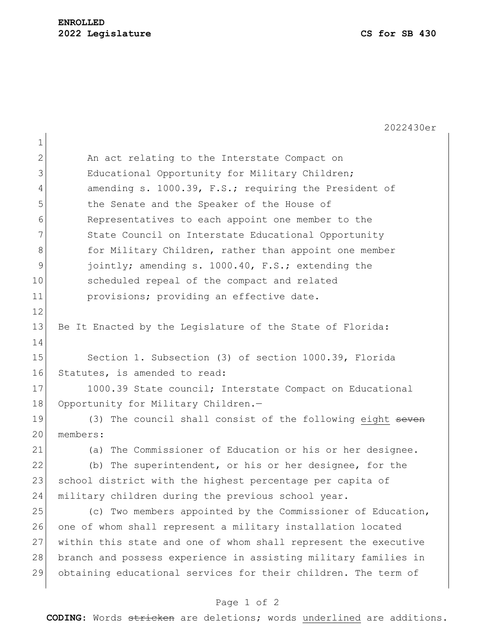2022430er

| 1              |                                                                 |
|----------------|-----------------------------------------------------------------|
| $\overline{2}$ | An act relating to the Interstate Compact on                    |
| 3              | Educational Opportunity for Military Children;                  |
| 4              | amending s. 1000.39, F.S.; requiring the President of           |
| 5              | the Senate and the Speaker of the House of                      |
| 6              | Representatives to each appoint one member to the               |
| 7              | State Council on Interstate Educational Opportunity             |
| 8              | for Military Children, rather than appoint one member           |
| $\mathsf 9$    | jointly; amending s. 1000.40, F.S.; extending the               |
| 10             | scheduled repeal of the compact and related                     |
| 11             | provisions; providing an effective date.                        |
| 12             |                                                                 |
| 13             | Be It Enacted by the Legislature of the State of Florida:       |
| 14             |                                                                 |
| 15             | Section 1. Subsection (3) of section 1000.39, Florida           |
| 16             | Statutes, is amended to read:                                   |
| 17             | 1000.39 State council; Interstate Compact on Educational        |
| 18             | Opportunity for Military Children.-                             |
| 19             | (3) The council shall consist of the following eight seven      |
| 20             | members:                                                        |
| 21             | (a) The Commissioner of Education or his or her designee.       |
| 22             | The superintendent, or his or her designee, for the<br>(b)      |
| 23             | school district with the highest percentage per capita of       |
| 24             | military children during the previous school year.              |
| 25             | (c) Two members appointed by the Commissioner of Education,     |
| 26             | one of whom shall represent a military installation located     |
| 27             | within this state and one of whom shall represent the executive |
| 28             | branch and possess experience in assisting military families in |
| 29             | obtaining educational services for their children. The term of  |
|                |                                                                 |

## Page 1 of 2

**CODING**: Words stricken are deletions; words underlined are additions.